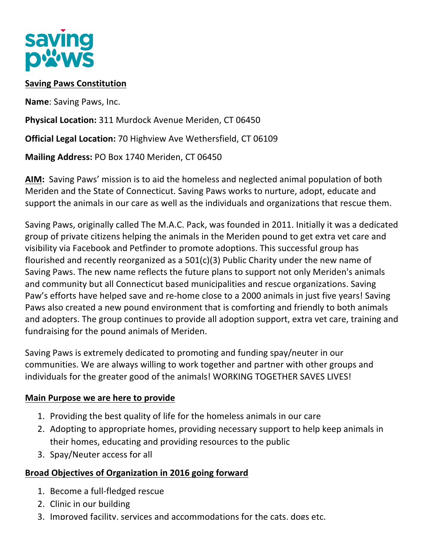

### **Saving Paws Constitution**

**Name:** Saving Paws, Inc.

**Physical Location:** 311 Murdock Avenue Meriden, CT 06450

**Official Legal Location:** 70 Highview Ave Wethersfield, CT 06109

**Mailing Address: PO Box 1740 Meriden, CT 06450** 

**AIM:** Saving Paws' mission is to aid the homeless and neglected animal population of both Meriden and the State of Connecticut. Saving Paws works to nurture, adopt, educate and support the animals in our care as well as the individuals and organizations that rescue them.

Saving Paws, originally called The M.A.C. Pack, was founded in 2011. Initially it was a dedicated group of private citizens helping the animals in the Meriden pound to get extra vet care and visibility via Facebook and Petfinder to promote adoptions. This successful group has flourished and recently reorganized as a  $501(c)(3)$  Public Charity under the new name of Saving Paws. The new name reflects the future plans to support not only Meriden's animals and community but all Connecticut based municipalities and rescue organizations. Saving Paw's efforts have helped save and re-home close to a 2000 animals in just five years! Saving Paws also created a new pound environment that is comforting and friendly to both animals and adopters. The group continues to provide all adoption support, extra vet care, training and fundraising for the pound animals of Meriden.

Saving Paws is extremely dedicated to promoting and funding spay/neuter in our communities. We are always willing to work together and partner with other groups and individuals for the greater good of the animals! WORKING TOGETHER SAVES LIVES!

#### **Main Purpose we are here to provide**

- 1. Providing the best quality of life for the homeless animals in our care
- 2. Adopting to appropriate homes, providing necessary support to help keep animals in their homes, educating and providing resources to the public
- 3. Spay/Neuter access for all

### **Broad Objectives of Organization in 2016 going forward**

- 1. Become a full-fledged rescue
- 2. Clinic in our building
- 3. Improved facility, services and accommodations for the cats, dogs etc.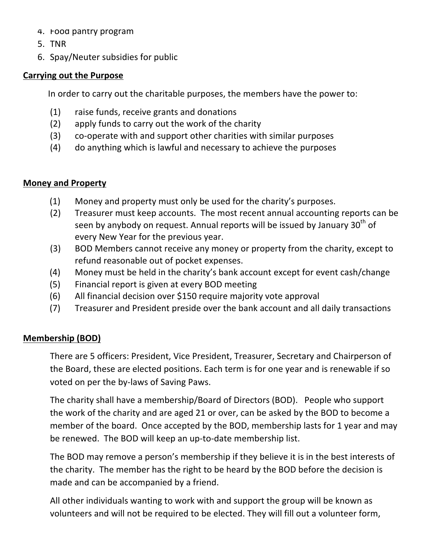- 4. Food pantry program
- 5. TNR
- 6. Spay/Neuter subsidies for public

#### **Carrying out the Purpose**

In order to carry out the charitable purposes, the members have the power to:

- $(1)$  raise funds, receive grants and donations
- $(2)$  apply funds to carry out the work of the charity
- (3) co-operate with and support other charities with similar purposes
- (4) do anything which is lawful and necessary to achieve the purposes

### **Money and Property**

- $(1)$  Money and property must only be used for the charity's purposes.
- (2) Treasurer must keep accounts. The most recent annual accounting reports can be seen by anybody on request. Annual reports will be issued by January  $30<sup>th</sup>$  of every New Year for the previous year.
- (3) BOD Members cannot receive any money or property from the charity, except to refund reasonable out of pocket expenses.
- (4) Money must be held in the charity's bank account except for event cash/change
- (5) Financial report is given at every BOD meeting
- $(6)$  All financial decision over \$150 require majority vote approval
- (7) Treasurer and President preside over the bank account and all daily transactions

### **Membership (BOD)**

There are 5 officers: President, Vice President, Treasurer, Secretary and Chairperson of the Board, these are elected positions. Each term is for one year and is renewable if so voted on per the by-laws of Saving Paws.

The charity shall have a membership/Board of Directors (BOD). People who support the work of the charity and are aged 21 or over, can be asked by the BOD to become a member of the board. Once accepted by the BOD, membership lasts for 1 year and may be renewed. The BOD will keep an up-to-date membership list.

The BOD may remove a person's membership if they believe it is in the best interests of the charity. The member has the right to be heard by the BOD before the decision is made and can be accompanied by a friend.

All other individuals wanting to work with and support the group will be known as volunteers and will not be required to be elected. They will fill out a volunteer form,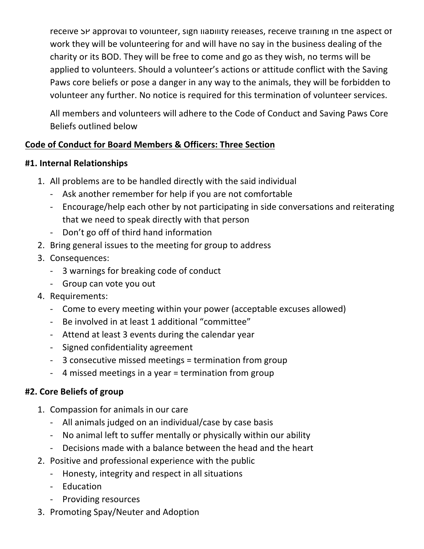receive SP approval to volunteer, sign liability releases, receive training in the aspect of work they will be volunteering for and will have no say in the business dealing of the charity or its BOD. They will be free to come and go as they wish, no terms will be applied to volunteers. Should a volunteer's actions or attitude conflict with the Saving Paws core beliefs or pose a danger in any way to the animals, they will be forbidden to volunteer any further. No notice is required for this termination of volunteer services.

All members and volunteers will adhere to the Code of Conduct and Saving Paws Core Beliefs outlined below

# **Code of Conduct for Board Members & Officers: Three Section**

### **#1. Internal Relationships**

- 1. All problems are to be handled directly with the said individual
	- Ask another remember for help if you are not comfortable
	- Encourage/help each other by not participating in side conversations and reiterating that we need to speak directly with that person
	- Don't go off of third hand information
- 2. Bring general issues to the meeting for group to address
- 3. Consequences:
	- 3 warnings for breaking code of conduct
	- Group can vote you out
- 4. Requirements:
	- Come to every meeting within your power (acceptable excuses allowed)
	- Be involved in at least 1 additional "committee"
	- Attend at least 3 events during the calendar year
	- Signed confidentiality agreement
	- 3 consecutive missed meetings = termination from group
	- 4 missed meetings in a year = termination from group

# **#2. Core Beliefs of group**

- 1. Compassion for animals in our care
	- All animals judged on an individual/case by case basis
	- No animal left to suffer mentally or physically within our ability
	- Decisions made with a balance between the head and the heart
- 2. Positive and professional experience with the public
	- Honesty, integrity and respect in all situations
	- Education
	- Providing resources
- 3. Promoting Spay/Neuter and Adoption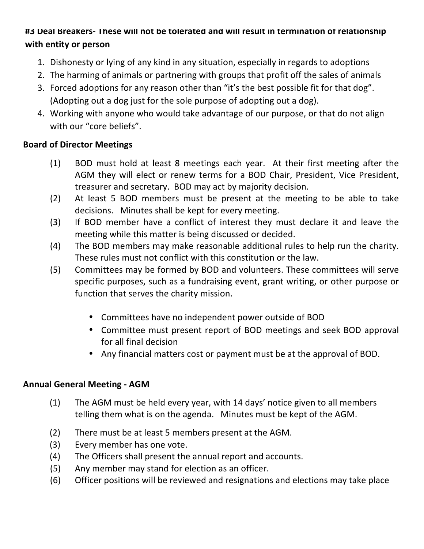### #3 Deal Breakers- I hese will not be tolerated and will result in termination of relationship **with entity or person**

- 1. Dishonesty or lying of any kind in any situation, especially in regards to adoptions
- 2. The harming of animals or partnering with groups that profit off the sales of animals
- 3. Forced adoptions for any reason other than "it's the best possible fit for that dog". (Adopting out a dog just for the sole purpose of adopting out a dog).
- 4. Working with anyone who would take advantage of our purpose, or that do not align with our "core beliefs".

### **Board of Director Meetings**

- (1) BOD must hold at least 8 meetings each year. At their first meeting after the AGM they will elect or renew terms for a BOD Chair, President, Vice President, treasurer and secretary. BOD may act by majority decision.
- (2) At least 5 BOD members must be present at the meeting to be able to take decisions. Minutes shall be kept for every meeting.
- (3) If BOD member have a conflict of interest they must declare it and leave the meeting while this matter is being discussed or decided.
- (4) The BOD members may make reasonable additional rules to help run the charity. These rules must not conflict with this constitution or the law.
- (5) Committees may be formed by BOD and volunteers. These committees will serve specific purposes, such as a fundraising event, grant writing, or other purpose or function that serves the charity mission.
	- Committees have no independent power outside of BOD
	- Committee must present report of BOD meetings and seek BOD approval for all final decision
	- Any financial matters cost or payment must be at the approval of BOD.

### **Annual General Meeting - AGM**

- (1) The AGM must be held every year, with 14 days' notice given to all members telling them what is on the agenda. Minutes must be kept of the AGM.
- (2) There must be at least 5 members present at the AGM.
- (3) Every member has one vote.
- (4) The Officers shall present the annual report and accounts.
- (5) Any member may stand for election as an officer.
- (6) Officer positions will be reviewed and resignations and elections may take place